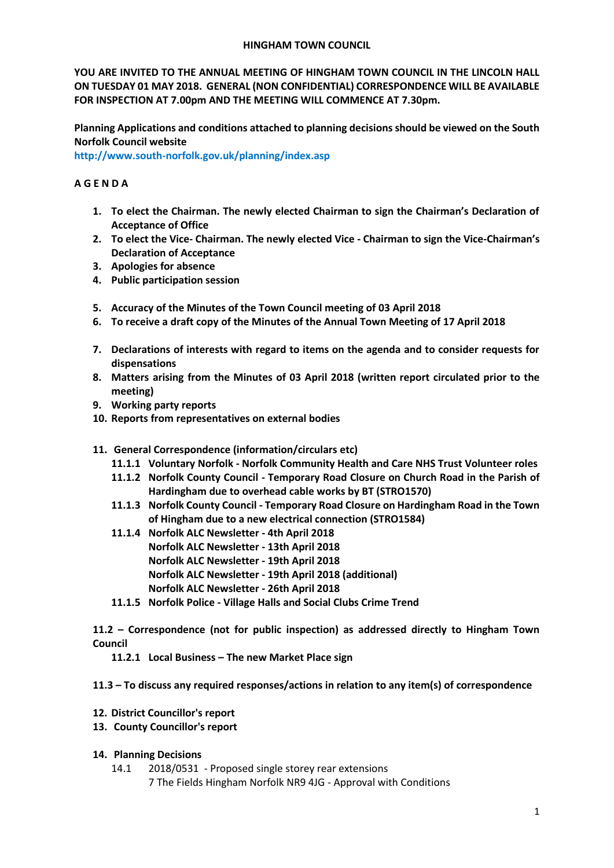#### **HINGHAM TOWN COUNCIL**

**YOU ARE INVITED TO THE ANNUAL MEETING OF HINGHAM TOWN COUNCIL IN THE LINCOLN HALL ON TUESDAY 01 MAY 2018. GENERAL (NON CONFIDENTIAL) CORRESPONDENCE WILL BE AVAILABLE FOR INSPECTION AT 7.00pm AND THE MEETING WILL COMMENCE AT 7.30pm.** 

**Planning Applications and conditions attached to planning decisions should be viewed on the South Norfolk Council website** 

**<http://www.south-norfolk.gov.uk/planning/index.asp>**

# **A G E N D A**

- **1. To elect the Chairman. The newly elected Chairman to sign the Chairman's Declaration of Acceptance of Office**
- **2. To elect the Vice- Chairman. The newly elected Vice - Chairman to sign the Vice-Chairman's Declaration of Acceptance**
- **3. Apologies for absence**
- **4. Public participation session**
- **5. Accuracy of the Minutes of the Town Council meeting of 03 April 2018**
- **6. To receive a draft copy of the Minutes of the Annual Town Meeting of 17 April 2018**
- **7. Declarations of interests with regard to items on the agenda and to consider requests for dispensations**
- **8. Matters arising from the Minutes of 03 April 2018 (written report circulated prior to the meeting)**
- **9. Working party reports**
- **10. Reports from representatives on external bodies**
- **11. General Correspondence (information/circulars etc)**
	- **11.1.1 Voluntary Norfolk - Norfolk Community Health and Care NHS Trust Volunteer roles**
	- **11.1.2 Norfolk County Council - Temporary Road Closure on Church Road in the Parish of Hardingham due to overhead cable works by BT (STRO1570)**
	- **11.1.3 Norfolk County Council - Temporary Road Closure on Hardingham Road in the Town of Hingham due to a new electrical connection (STRO1584)**
	- **11.1.4 Norfolk ALC Newsletter - 4th April 2018 Norfolk ALC Newsletter - 13th April 2018 Norfolk ALC Newsletter - 19th April 2018 Norfolk ALC Newsletter - 19th April 2018 (additional) Norfolk ALC Newsletter - 26th April 2018**
	- **11.1.5 Norfolk Police - Village Halls and Social Clubs Crime Trend**

**11.2 – Correspondence (not for public inspection) as addressed directly to Hingham Town Council**

**11.2.1 Local Business – The new Market Place sign** 

**11.3 – To discuss any required responses/actions in relation to any item(s) of correspondence**

- **12. District Councillor's report**
- **13. County Councillor's report**

## **14. Planning Decisions**

14.1 2018/0531 - Proposed single storey rear extensions

7 The Fields Hingham Norfolk NR9 4JG - Approval with Conditions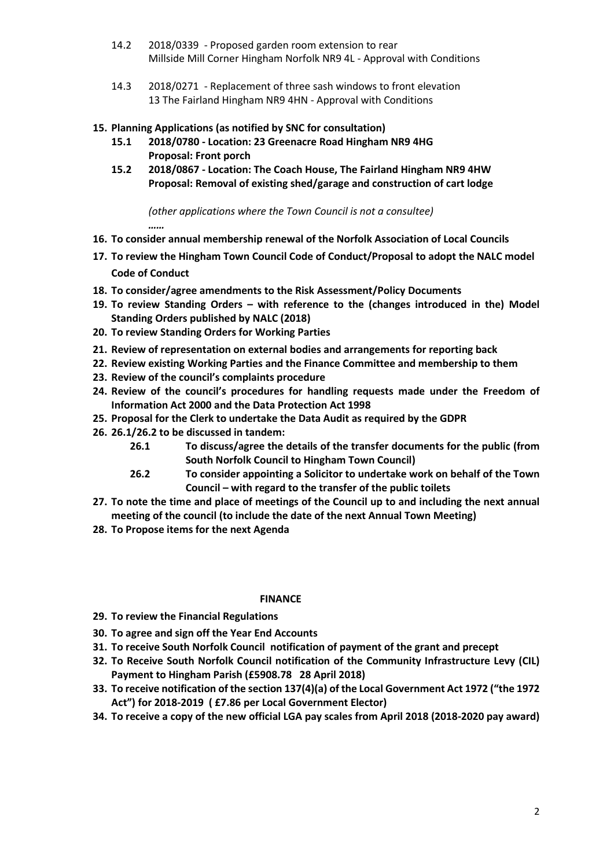- 14.2 2018/0339 Proposed garden room extension to rear Millside Mill Corner Hingham Norfolk NR9 4L - Approval with Conditions
- 14.3 2018/0271 Replacement of three sash windows to front elevation 13 The Fairland Hingham NR9 4HN - Approval with Conditions

### **15. Planning Applications (as notified by SNC for consultation)**

- **15.1 2018/0780 - Location: 23 Greenacre Road Hingham NR9 4HG Proposal: Front porch**
- **15.2 2018/0867 - Location: The Coach House, The Fairland Hingham NR9 4HW Proposal: Removal of existing shed/garage and construction of cart lodge**

*(other applications where the Town Council is not a consultee) ……*

- **16. To consider annual membership renewal of the Norfolk Association of Local Councils**
- **17. To review the Hingham Town Council Code of Conduct/Proposal to adopt the NALC model Code of Conduct**
- **18. To consider/agree amendments to the Risk Assessment/Policy Documents**
- **19. To review Standing Orders – with reference to the (changes introduced in the) Model Standing Orders published by NALC (2018)**
- **20. To review Standing Orders for Working Parties**
- **21. Review of representation on external bodies and arrangements for reporting back**
- **22. Review existing Working Parties and the Finance Committee and membership to them**
- **23. Review of the council's complaints procedure**
- **24. Review of the council's procedures for handling requests made under the Freedom of Information Act 2000 and the Data Protection Act 1998**
- **25. Proposal for the Clerk to undertake the Data Audit as required by the GDPR**
- **26. 26.1/26.2 to be discussed in tandem:**
	- **26.1 To discuss/agree the details of the transfer documents for the public (from South Norfolk Council to Hingham Town Council)**
	- **26.2 To consider appointing a Solicitor to undertake work on behalf of the Town Council – with regard to the transfer of the public toilets**
- **27. To note the time and place of meetings of the Council up to and including the next annual meeting of the council (to include the date of the next Annual Town Meeting)**
- **28. To Propose items for the next Agenda**

### **FINANCE**

- **29. To review the Financial Regulations**
- **30. To agree and sign off the Year End Accounts**
- **31. To receive South Norfolk Council notification of payment of the grant and precept**
- **32. To Receive South Norfolk Council notification of the Community Infrastructure Levy (CIL) Payment to Hingham Parish (£5908.78 28 April 2018)**
- **33. To receive notification of the section 137(4)(a) of the Local Government Act 1972 ("the 1972 Act") for 2018-2019 ( £7.86 per Local Government Elector)**
- **34. To receive a copy of the new official LGA pay scales from April 2018 (2018-2020 pay award)**